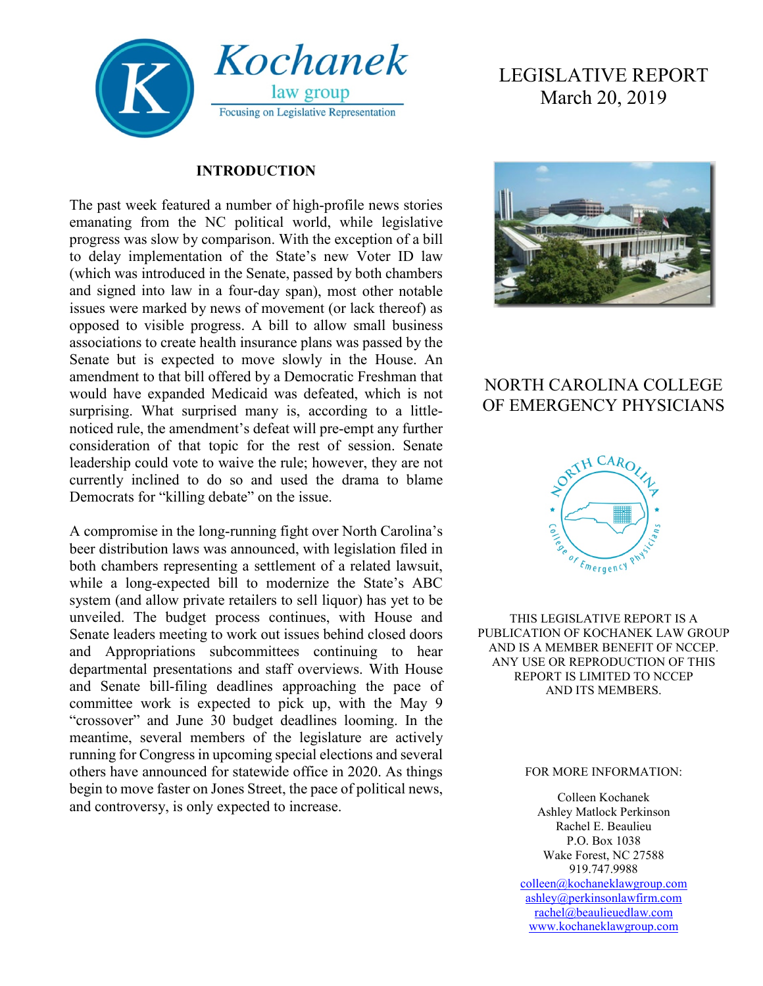

#### **INTRODUCTION**

The past week featured a number of high-profile news stories emanating from the NC political world, while legislative progress was slow by comparison. With the exception of a bill to delay implementation of the State's new Voter ID law (which was introduced in the Senate, passed by both chambers and signed into law in a four-day span), most other notable issues were marked by news of movement (or lack thereof) as opposed to visible progress. A bill to allow small business associations to create health insurance plans was passed by the Senate but is expected to move slowly in the House. An amendment to that bill offered by a Democratic Freshman that would have expanded Medicaid was defeated, which is not surprising. What surprised many is, according to a littlenoticed rule, the amendment's defeat will pre-empt any further consideration of that topic for the rest of session. Senate leadership could vote to waive the rule; however, they are not currently inclined to do so and used the drama to blame Democrats for "killing debate" on the issue.

A compromise in the long-running fight over North Carolina's beer distribution laws was announced, with legislation filed in both chambers representing a settlement of a related lawsuit, while a long-expected bill to modernize the State's ABC system (and allow private retailers to sell liquor) has yet to be unveiled. The budget process continues, with House and Senate leaders meeting to work out issues behind closed doors and Appropriations subcommittees continuing to hear departmental presentations and staff overviews. With House and Senate bill-filing deadlines approaching the pace of committee work is expected to pick up, with the May 9 "crossover" and June 30 budget deadlines looming. In the meantime, several members of the legislature are actively running for Congress in upcoming special elections and several others have announced for statewide office in 2020. As things begin to move faster on Jones Street, the pace of political news, and controversy, is only expected to increase.

# LEGISLATIVE REPORT March 20, 2019



## NORTH CAROLINA COLLEGE OF EMERGENCY PHYSICIANS



THIS LEGISLATIVE REPORT IS A PUBLICATION OF KOCHANEK LAW GROUP AND IS A MEMBER BENEFIT OF NCCEP. ANY USE OR REPRODUCTION OF THIS REPORT IS LIMITED TO NCCEP AND ITS MEMBERS.

#### FOR MORE INFORMATION:

Colleen Kochanek Ashley Matlock Perkinson Rachel E. Beaulieu P.O. Box 1038 Wake Forest, NC 27588 919.747.9988 [colleen@kochaneklawgroup.com](mailto:colleen@kochaneklawgroup.com) [ashley@perkinsonlawfirm.com](mailto:ashley@perkinsonlawfirm.com) [rachel@beaulieuedlaw.com](mailto:rachel@beaulieuedlaw.com) [www.kochaneklawgroup.com](http://www.kochaneklawgroup.com/)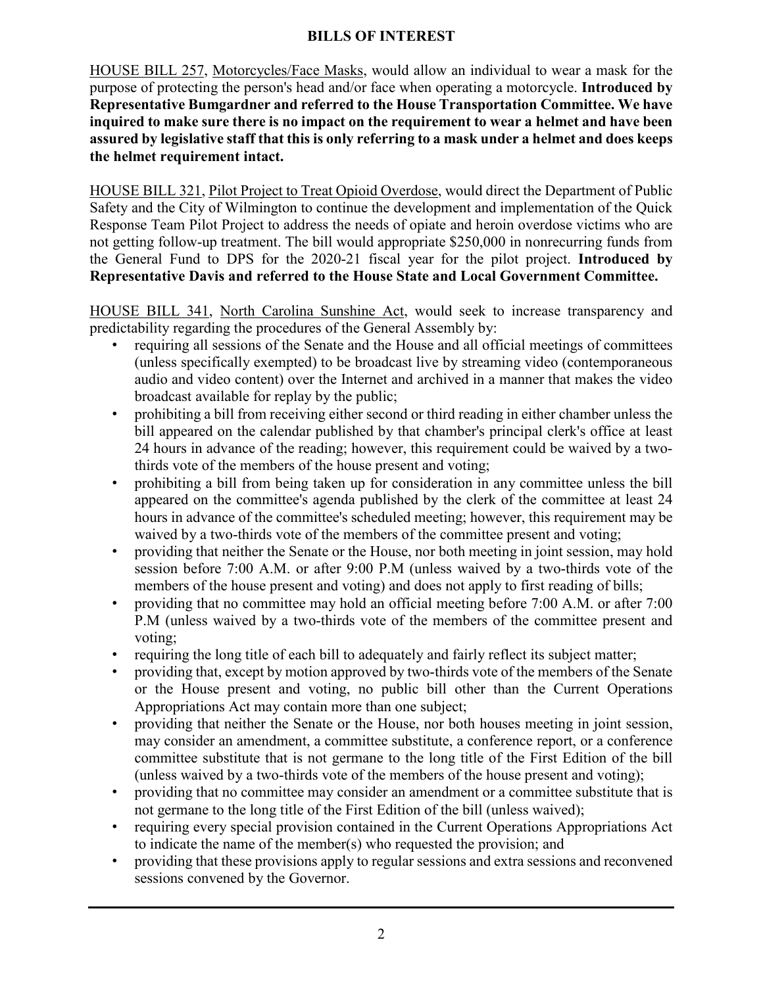#### **BILLS OF INTEREST**

HOUSE BILL 257, Motorcycles/Face Masks, would allow an individual to wear a mask for the purpose of protecting the person's head and/or face when operating a motorcycle. **Introduced by Representative Bumgardner and referred to the House Transportation Committee. We have inquired to make sure there is no impact on the requirement to wear a helmet and have been assured by legislative staff that this is only referring to a mask under a helmet and does keeps the helmet requirement intact.**

HOUSE BILL 321, Pilot Project to Treat Opioid Overdose, would direct the Department of Public Safety and the City of Wilmington to continue the development and implementation of the Quick Response Team Pilot Project to address the needs of opiate and heroin overdose victims who are not getting follow-up treatment. The bill would appropriate \$250,000 in nonrecurring funds from the General Fund to DPS for the 2020-21 fiscal year for the pilot project. **Introduced by Representative Davis and referred to the House State and Local Government Committee.**

HOUSE BILL 341, North Carolina Sunshine Act, would seek to increase transparency and predictability regarding the procedures of the General Assembly by:

- requiring all sessions of the Senate and the House and all official meetings of committees (unless specifically exempted) to be broadcast live by streaming video (contemporaneous audio and video content) over the Internet and archived in a manner that makes the video broadcast available for replay by the public;
- prohibiting a bill from receiving either second or third reading in either chamber unless the bill appeared on the calendar published by that chamber's principal clerk's office at least 24 hours in advance of the reading; however, this requirement could be waived by a twothirds vote of the members of the house present and voting;
- prohibiting a bill from being taken up for consideration in any committee unless the bill appeared on the committee's agenda published by the clerk of the committee at least 24 hours in advance of the committee's scheduled meeting; however, this requirement may be waived by a two-thirds vote of the members of the committee present and voting;
- providing that neither the Senate or the House, nor both meeting in joint session, may hold session before 7:00 A.M. or after 9:00 P.M (unless waived by a two-thirds vote of the members of the house present and voting) and does not apply to first reading of bills;
- providing that no committee may hold an official meeting before 7:00 A.M. or after 7:00 P.M (unless waived by a two-thirds vote of the members of the committee present and voting;
- requiring the long title of each bill to adequately and fairly reflect its subject matter;
- providing that, except by motion approved by two-thirds vote of the members of the Senate or the House present and voting, no public bill other than the Current Operations Appropriations Act may contain more than one subject;
- providing that neither the Senate or the House, nor both houses meeting in joint session, may consider an amendment, a committee substitute, a conference report, or a conference committee substitute that is not germane to the long title of the First Edition of the bill (unless waived by a two-thirds vote of the members of the house present and voting);
- providing that no committee may consider an amendment or a committee substitute that is not germane to the long title of the First Edition of the bill (unless waived);
- requiring every special provision contained in the Current Operations Appropriations Act to indicate the name of the member(s) who requested the provision; and
- providing that these provisions apply to regular sessions and extra sessions and reconvened sessions convened by the Governor.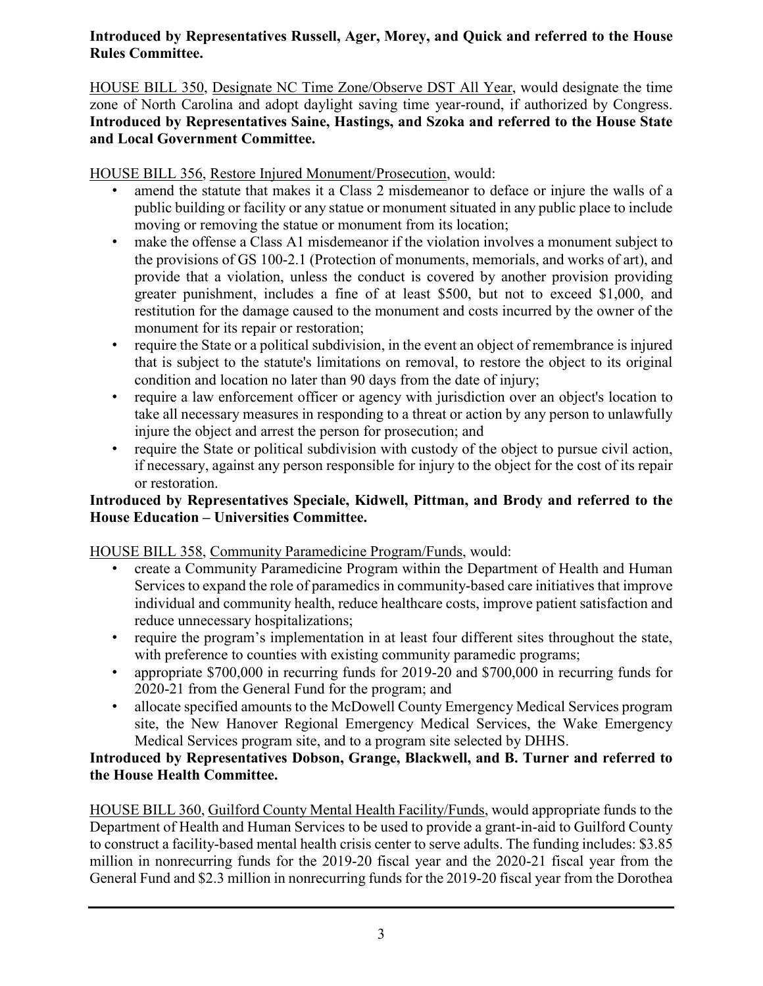#### **Introduced by Representatives Russell, Ager, Morey, and Quick and referred to the House Rules Committee.**

HOUSE BILL 350, Designate NC Time Zone/Observe DST All Year, would designate the time zone of North Carolina and adopt daylight saving time year-round, if authorized by Congress. **Introduced by Representatives Saine, Hastings, and Szoka and referred to the House State and Local Government Committee.**

HOUSE BILL 356, Restore Injured Monument/Prosecution, would:

- amend the statute that makes it a Class 2 misdemeanor to deface or injure the walls of a public building or facility or any statue or monument situated in any public place to include moving or removing the statue or monument from its location;
- make the offense a Class A1 misdemeanor if the violation involves a monument subject to the provisions of GS 100-2.1 (Protection of monuments, memorials, and works of art), and provide that a violation, unless the conduct is covered by another provision providing greater punishment, includes a fine of at least \$500, but not to exceed \$1,000, and restitution for the damage caused to the monument and costs incurred by the owner of the monument for its repair or restoration;
- require the State or a political subdivision, in the event an object of remembrance is injured that is subject to the statute's limitations on removal, to restore the object to its original condition and location no later than 90 days from the date of injury;
- require a law enforcement officer or agency with jurisdiction over an object's location to take all necessary measures in responding to a threat or action by any person to unlawfully injure the object and arrest the person for prosecution; and
- require the State or political subdivision with custody of the object to pursue civil action, if necessary, against any person responsible for injury to the object for the cost of its repair or restoration.

#### **Introduced by Representatives Speciale, Kidwell, Pittman, and Brody and referred to the House Education – Universities Committee.**

HOUSE BILL 358, Community Paramedicine Program/Funds, would:

- create a Community Paramedicine Program within the Department of Health and Human Services to expand the role of paramedics in community-based care initiatives that improve individual and community health, reduce healthcare costs, improve patient satisfaction and reduce unnecessary hospitalizations;
- require the program's implementation in at least four different sites throughout the state, with preference to counties with existing community paramedic programs;
- appropriate \$700,000 in recurring funds for 2019-20 and \$700,000 in recurring funds for 2020-21 from the General Fund for the program; and
- allocate specified amounts to the McDowell County Emergency Medical Services program site, the New Hanover Regional Emergency Medical Services, the Wake Emergency Medical Services program site, and to a program site selected by DHHS.

#### **Introduced by Representatives Dobson, Grange, Blackwell, and B. Turner and referred to the House Health Committee.**

HOUSE BILL 360, Guilford County Mental Health Facility/Funds, would appropriate funds to the Department of Health and Human Services to be used to provide a grant-in-aid to Guilford County to construct a facility-based mental health crisis center to serve adults. The funding includes: \$3.85 million in nonrecurring funds for the 2019-20 fiscal year and the 2020-21 fiscal year from the General Fund and \$2.3 million in nonrecurring funds for the 2019-20 fiscal year from the Dorothea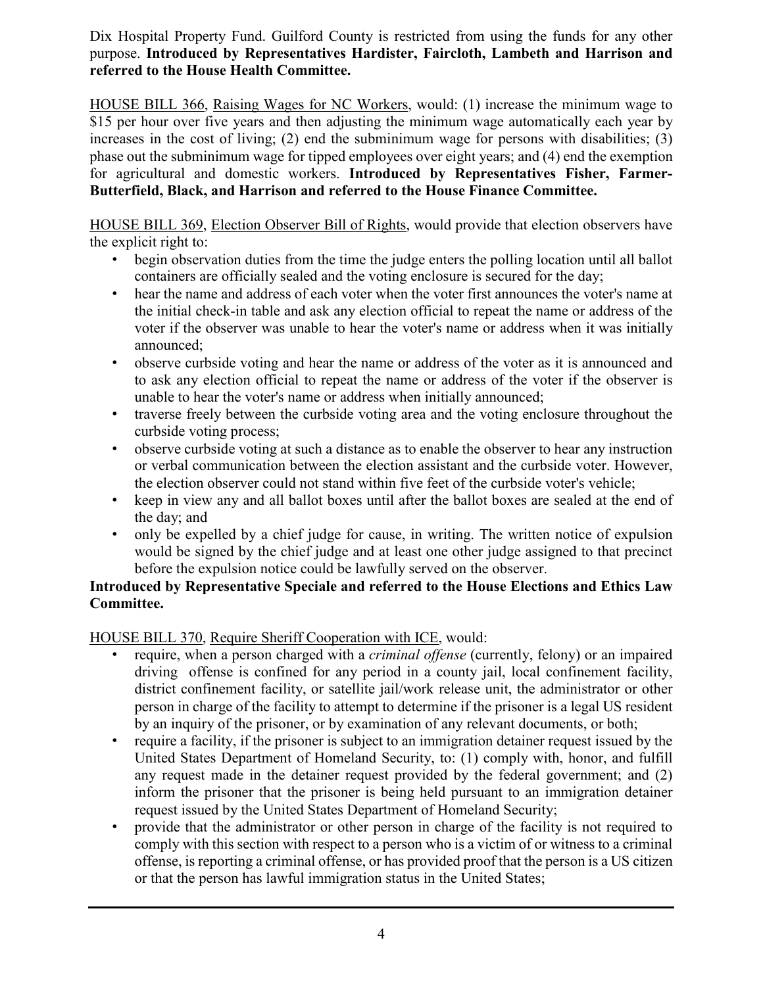Dix Hospital Property Fund. Guilford County is restricted from using the funds for any other purpose. **Introduced by Representatives Hardister, Faircloth, Lambeth and Harrison and referred to the House Health Committee.**

HOUSE BILL 366, Raising Wages for NC Workers, would: (1) increase the minimum wage to \$15 per hour over five years and then adjusting the minimum wage automatically each year by increases in the cost of living; (2) end the subminimum wage for persons with disabilities; (3) phase out the subminimum wage for tipped employees over eight years; and (4) end the exemption for agricultural and domestic workers. **Introduced by Representatives Fisher, Farmer-Butterfield, Black, and Harrison and referred to the House Finance Committee.**

HOUSE BILL 369, Election Observer Bill of Rights, would provide that election observers have the explicit right to:

- begin observation duties from the time the judge enters the polling location until all ballot containers are officially sealed and the voting enclosure is secured for the day;
- hear the name and address of each voter when the voter first announces the voter's name at the initial check-in table and ask any election official to repeat the name or address of the voter if the observer was unable to hear the voter's name or address when it was initially announced;
- observe curbside voting and hear the name or address of the voter as it is announced and to ask any election official to repeat the name or address of the voter if the observer is unable to hear the voter's name or address when initially announced;
- traverse freely between the curbside voting area and the voting enclosure throughout the curbside voting process;
- observe curbside voting at such a distance as to enable the observer to hear any instruction or verbal communication between the election assistant and the curbside voter. However, the election observer could not stand within five feet of the curbside voter's vehicle;
- keep in view any and all ballot boxes until after the ballot boxes are sealed at the end of the day; and
- only be expelled by a chief judge for cause, in writing. The written notice of expulsion would be signed by the chief judge and at least one other judge assigned to that precinct before the expulsion notice could be lawfully served on the observer.

#### **Introduced by Representative Speciale and referred to the House Elections and Ethics Law Committee.**

HOUSE BILL 370, Require Sheriff Cooperation with ICE, would:

- require, when a person charged with a *criminal offense* (currently, felony) or an impaired driving offense is confined for any period in a county jail, local confinement facility, district confinement facility, or satellite jail/work release unit, the administrator or other person in charge of the facility to attempt to determine if the prisoner is a legal US resident by an inquiry of the prisoner, or by examination of any relevant documents, or both;
- require a facility, if the prisoner is subject to an immigration detainer request issued by the United States Department of Homeland Security, to: (1) comply with, honor, and fulfill any request made in the detainer request provided by the federal government; and (2) inform the prisoner that the prisoner is being held pursuant to an immigration detainer request issued by the United States Department of Homeland Security;
- provide that the administrator or other person in charge of the facility is not required to comply with this section with respect to a person who is a victim of or witness to a criminal offense, is reporting a criminal offense, or has provided proof that the person is a US citizen or that the person has lawful immigration status in the United States;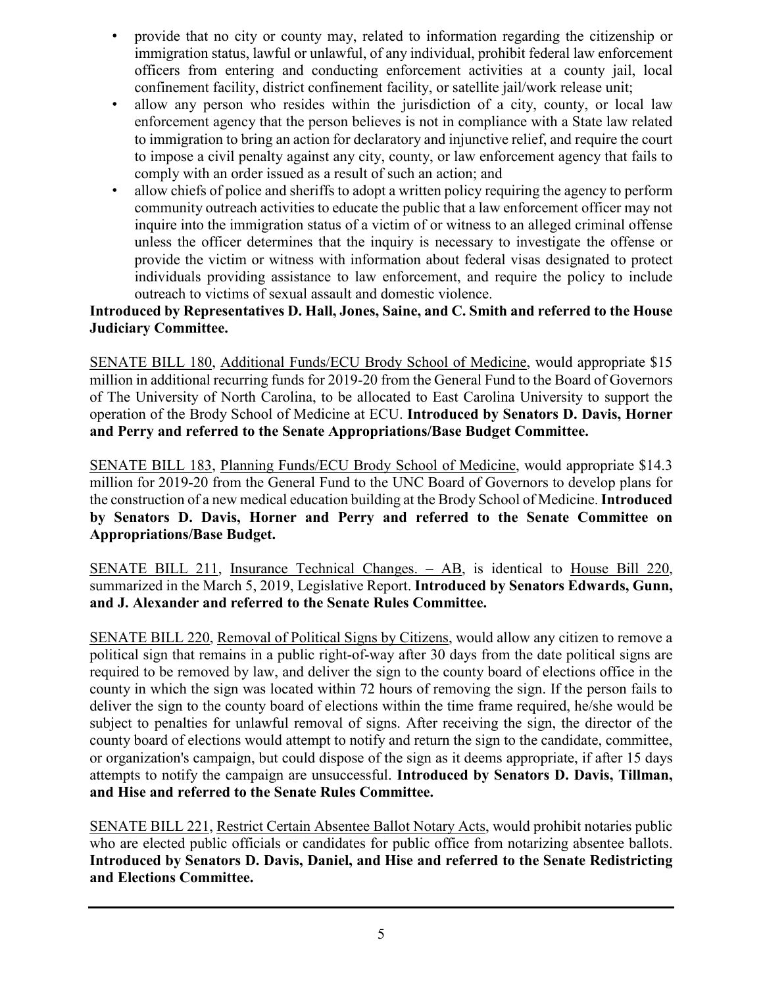- provide that no city or county may, related to information regarding the citizenship or immigration status, lawful or unlawful, of any individual, prohibit federal law enforcement officers from entering and conducting enforcement activities at a county jail, local confinement facility, district confinement facility, or satellite jail/work release unit;
- allow any person who resides within the jurisdiction of a city, county, or local law enforcement agency that the person believes is not in compliance with a State law related to immigration to bring an action for declaratory and injunctive relief, and require the court to impose a civil penalty against any city, county, or law enforcement agency that fails to comply with an order issued as a result of such an action; and
- allow chiefs of police and sheriffs to adopt a written policy requiring the agency to perform community outreach activities to educate the public that a law enforcement officer may not inquire into the immigration status of a victim of or witness to an alleged criminal offense unless the officer determines that the inquiry is necessary to investigate the offense or provide the victim or witness with information about federal visas designated to protect individuals providing assistance to law enforcement, and require the policy to include outreach to victims of sexual assault and domestic violence.

#### **Introduced by Representatives D. Hall, Jones, Saine, and C. Smith and referred to the House Judiciary Committee.**

SENATE BILL 180, Additional Funds/ECU Brody School of Medicine, would appropriate \$15 million in additional recurring funds for 2019-20 from the General Fund to the Board of Governors of The University of North Carolina, to be allocated to East Carolina University to support the operation of the Brody School of Medicine at ECU. **Introduced by Senators D. Davis, Horner and Perry and referred to the Senate Appropriations/Base Budget Committee.**

SENATE BILL 183, Planning Funds/ECU Brody School of Medicine, would appropriate \$14.3 million for 2019-20 from the General Fund to the UNC Board of Governors to develop plans for the construction of a new medical education building at the Brody School of Medicine. **Introduced by Senators D. Davis, Horner and Perry and referred to the Senate Committee on Appropriations/Base Budget.**

SENATE BILL 211, Insurance Technical Changes. – AB, is identical to House Bill 220, summarized in the March 5, 2019, Legislative Report. **Introduced by Senators Edwards, Gunn, and J. Alexander and referred to the Senate Rules Committee.**

SENATE BILL 220, Removal of Political Signs by Citizens, would allow any citizen to remove a political sign that remains in a public right-of-way after 30 days from the date political signs are required to be removed by law, and deliver the sign to the county board of elections office in the county in which the sign was located within 72 hours of removing the sign. If the person fails to deliver the sign to the county board of elections within the time frame required, he/she would be subject to penalties for unlawful removal of signs. After receiving the sign, the director of the county board of elections would attempt to notify and return the sign to the candidate, committee, or organization's campaign, but could dispose of the sign as it deems appropriate, if after 15 days attempts to notify the campaign are unsuccessful. **Introduced by Senators D. Davis, Tillman, and Hise and referred to the Senate Rules Committee.**

SENATE BILL 221, Restrict Certain Absentee Ballot Notary Acts, would prohibit notaries public who are elected public officials or candidates for public office from notarizing absentee ballots. **Introduced by Senators D. Davis, Daniel, and Hise and referred to the Senate Redistricting and Elections Committee.**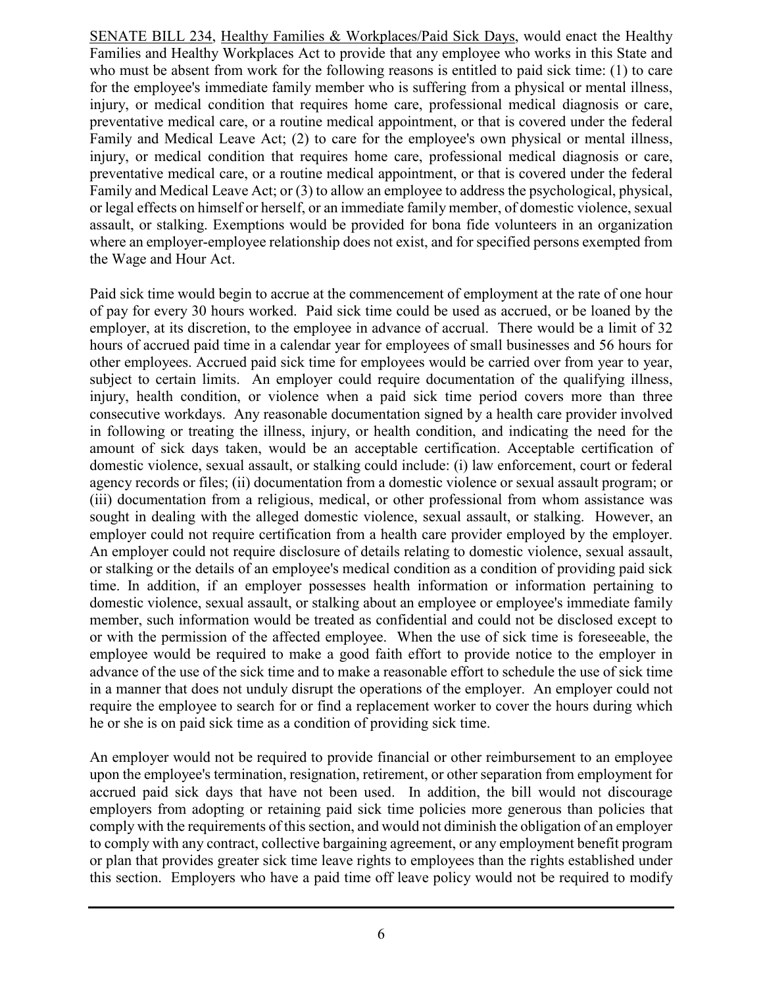SENATE BILL 234, Healthy Families & Workplaces/Paid Sick Days, would enact the Healthy Families and Healthy Workplaces Act to provide that any employee who works in this State and who must be absent from work for the following reasons is entitled to paid sick time: (1) to care for the employee's immediate family member who is suffering from a physical or mental illness, injury, or medical condition that requires home care, professional medical diagnosis or care, preventative medical care, or a routine medical appointment, or that is covered under the federal Family and Medical Leave Act; (2) to care for the employee's own physical or mental illness, injury, or medical condition that requires home care, professional medical diagnosis or care, preventative medical care, or a routine medical appointment, or that is covered under the federal Family and Medical Leave Act; or (3) to allow an employee to address the psychological, physical, or legal effects on himself or herself, or an immediate family member, of domestic violence, sexual assault, or stalking. Exemptions would be provided for bona fide volunteers in an organization where an employer-employee relationship does not exist, and for specified persons exempted from the Wage and Hour Act.

Paid sick time would begin to accrue at the commencement of employment at the rate of one hour of pay for every 30 hours worked. Paid sick time could be used as accrued, or be loaned by the employer, at its discretion, to the employee in advance of accrual. There would be a limit of 32 hours of accrued paid time in a calendar year for employees of small businesses and 56 hours for other employees. Accrued paid sick time for employees would be carried over from year to year, subject to certain limits. An employer could require documentation of the qualifying illness, injury, health condition, or violence when a paid sick time period covers more than three consecutive workdays. Any reasonable documentation signed by a health care provider involved in following or treating the illness, injury, or health condition, and indicating the need for the amount of sick days taken, would be an acceptable certification. Acceptable certification of domestic violence, sexual assault, or stalking could include: (i) law enforcement, court or federal agency records or files; (ii) documentation from a domestic violence or sexual assault program; or (iii) documentation from a religious, medical, or other professional from whom assistance was sought in dealing with the alleged domestic violence, sexual assault, or stalking. However, an employer could not require certification from a health care provider employed by the employer. An employer could not require disclosure of details relating to domestic violence, sexual assault, or stalking or the details of an employee's medical condition as a condition of providing paid sick time. In addition, if an employer possesses health information or information pertaining to domestic violence, sexual assault, or stalking about an employee or employee's immediate family member, such information would be treated as confidential and could not be disclosed except to or with the permission of the affected employee. When the use of sick time is foreseeable, the employee would be required to make a good faith effort to provide notice to the employer in advance of the use of the sick time and to make a reasonable effort to schedule the use of sick time in a manner that does not unduly disrupt the operations of the employer. An employer could not require the employee to search for or find a replacement worker to cover the hours during which he or she is on paid sick time as a condition of providing sick time.

An employer would not be required to provide financial or other reimbursement to an employee upon the employee's termination, resignation, retirement, or other separation from employment for accrued paid sick days that have not been used. In addition, the bill would not discourage employers from adopting or retaining paid sick time policies more generous than policies that comply with the requirements of this section, and would not diminish the obligation of an employer to comply with any contract, collective bargaining agreement, or any employment benefit program or plan that provides greater sick time leave rights to employees than the rights established under this section. Employers who have a paid time off leave policy would not be required to modify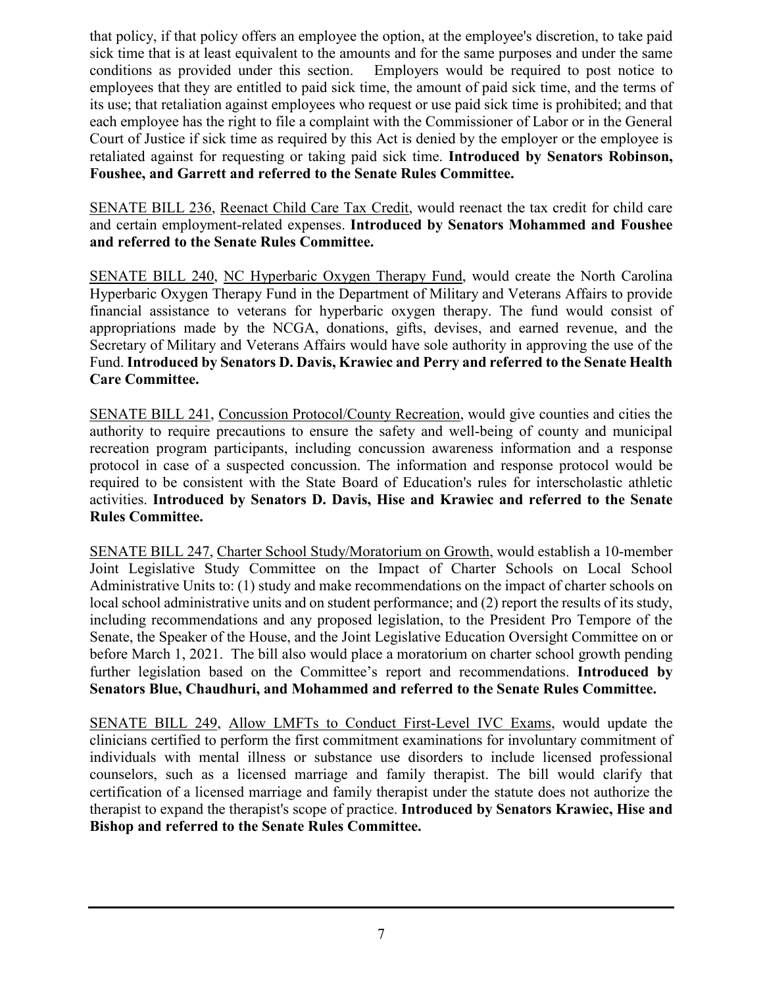that policy, if that policy offers an employee the option, at the employee's discretion, to take paid sick time that is at least equivalent to the amounts and for the same purposes and under the same conditions as provided under this section. Employers would be required to post notice to employees that they are entitled to paid sick time, the amount of paid sick time, and the terms of its use; that retaliation against employees who request or use paid sick time is prohibited; and that each employee has the right to file a complaint with the Commissioner of Labor or in the General Court of Justice if sick time as required by this Act is denied by the employer or the employee is retaliated against for requesting or taking paid sick time. **Introduced by Senators Robinson, Foushee, and Garrett and referred to the Senate Rules Committee.**

SENATE BILL 236, Reenact Child Care Tax Credit, would reenact the tax credit for child care and certain employment-related expenses. **Introduced by Senators Mohammed and Foushee and referred to the Senate Rules Committee.**

SENATE BILL 240, NC Hyperbaric Oxygen Therapy Fund, would create the North Carolina Hyperbaric Oxygen Therapy Fund in the Department of Military and Veterans Affairs to provide financial assistance to veterans for hyperbaric oxygen therapy. The fund would consist of appropriations made by the NCGA, donations, gifts, devises, and earned revenue, and the Secretary of Military and Veterans Affairs would have sole authority in approving the use of the Fund. **Introduced by Senators D. Davis, Krawiec and Perry and referred to the Senate Health Care Committee.**

SENATE BILL 241, Concussion Protocol/County Recreation, would give counties and cities the authority to require precautions to ensure the safety and well-being of county and municipal recreation program participants, including concussion awareness information and a response protocol in case of a suspected concussion. The information and response protocol would be required to be consistent with the State Board of Education's rules for interscholastic athletic activities. **Introduced by Senators D. Davis, Hise and Krawiec and referred to the Senate Rules Committee.**

SENATE BILL 247, Charter School Study/Moratorium on Growth, would establish a 10-member Joint Legislative Study Committee on the Impact of Charter Schools on Local School Administrative Units to: (1) study and make recommendations on the impact of charter schools on local school administrative units and on student performance; and (2) report the results of its study, including recommendations and any proposed legislation, to the President Pro Tempore of the Senate, the Speaker of the House, and the Joint Legislative Education Oversight Committee on or before March 1, 2021. The bill also would place a moratorium on charter school growth pending further legislation based on the Committee's report and recommendations. **Introduced by Senators Blue, Chaudhuri, and Mohammed and referred to the Senate Rules Committee.**

SENATE BILL 249, Allow LMFTs to Conduct First-Level IVC Exams, would update the clinicians certified to perform the first commitment examinations for involuntary commitment of individuals with mental illness or substance use disorders to include licensed professional counselors, such as a licensed marriage and family therapist. The bill would clarify that certification of a licensed marriage and family therapist under the statute does not authorize the therapist to expand the therapist's scope of practice. **Introduced by Senators Krawiec, Hise and Bishop and referred to the Senate Rules Committee.**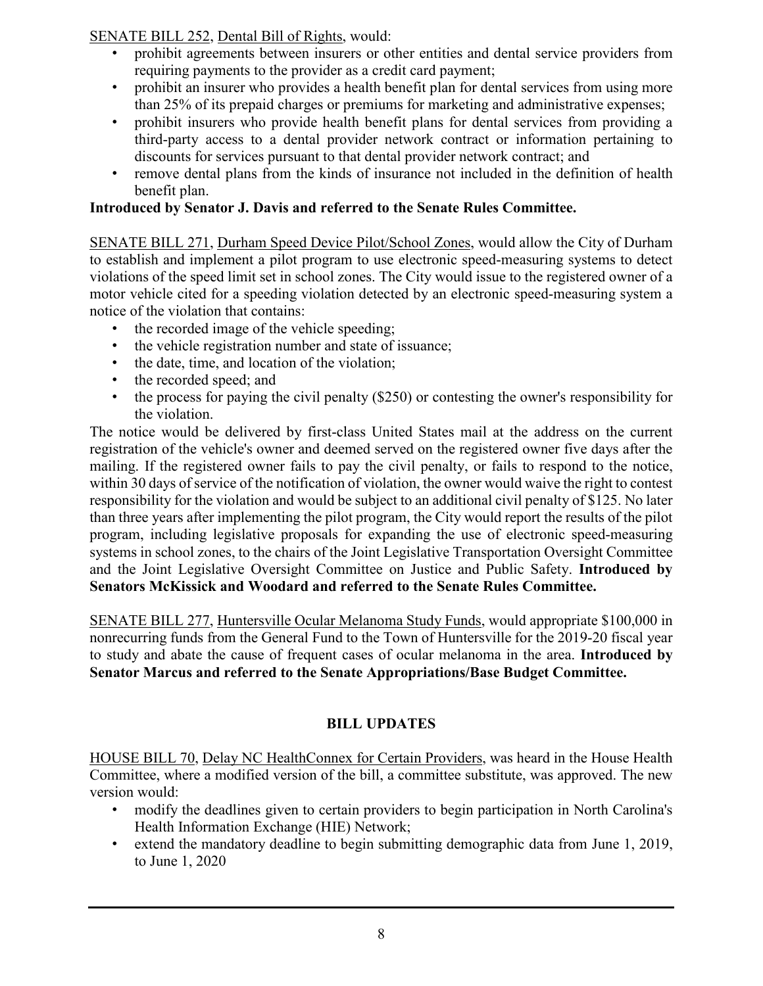SENATE BILL 252, Dental Bill of Rights, would:

- prohibit agreements between insurers or other entities and dental service providers from requiring payments to the provider as a credit card payment;
- prohibit an insurer who provides a health benefit plan for dental services from using more than 25% of its prepaid charges or premiums for marketing and administrative expenses;
- prohibit insurers who provide health benefit plans for dental services from providing a third-party access to a dental provider network contract or information pertaining to discounts for services pursuant to that dental provider network contract; and
- remove dental plans from the kinds of insurance not included in the definition of health benefit plan.

### **Introduced by Senator J. Davis and referred to the Senate Rules Committee.**

SENATE BILL 271, Durham Speed Device Pilot/School Zones, would allow the City of Durham to establish and implement a pilot program to use electronic speed-measuring systems to detect violations of the speed limit set in school zones. The City would issue to the registered owner of a motor vehicle cited for a speeding violation detected by an electronic speed-measuring system a notice of the violation that contains:

- the recorded image of the vehicle speeding;
- the vehicle registration number and state of issuance;
- the date, time, and location of the violation;
- the recorded speed; and
- the process for paying the civil penalty (\$250) or contesting the owner's responsibility for the violation.

The notice would be delivered by first-class United States mail at the address on the current registration of the vehicle's owner and deemed served on the registered owner five days after the mailing. If the registered owner fails to pay the civil penalty, or fails to respond to the notice, within 30 days of service of the notification of violation, the owner would waive the right to contest responsibility for the violation and would be subject to an additional civil penalty of \$125. No later than three years after implementing the pilot program, the City would report the results of the pilot program, including legislative proposals for expanding the use of electronic speed-measuring systems in school zones, to the chairs of the Joint Legislative Transportation Oversight Committee and the Joint Legislative Oversight Committee on Justice and Public Safety. **Introduced by Senators McKissick and Woodard and referred to the Senate Rules Committee.**

SENATE BILL 277, Huntersville Ocular Melanoma Study Funds, would appropriate \$100,000 in nonrecurring funds from the General Fund to the Town of Huntersville for the 2019-20 fiscal year to study and abate the cause of frequent cases of ocular melanoma in the area. **Introduced by Senator Marcus and referred to the Senate Appropriations/Base Budget Committee.**

#### **BILL UPDATES**

HOUSE BILL 70, Delay NC HealthConnex for Certain Providers, was heard in the House Health Committee, where a modified version of the bill, a committee substitute, was approved. The new version would:

- modify the deadlines given to certain providers to begin participation in North Carolina's Health Information Exchange (HIE) Network;
- extend the mandatory deadline to begin submitting demographic data from June 1, 2019, to June 1, 2020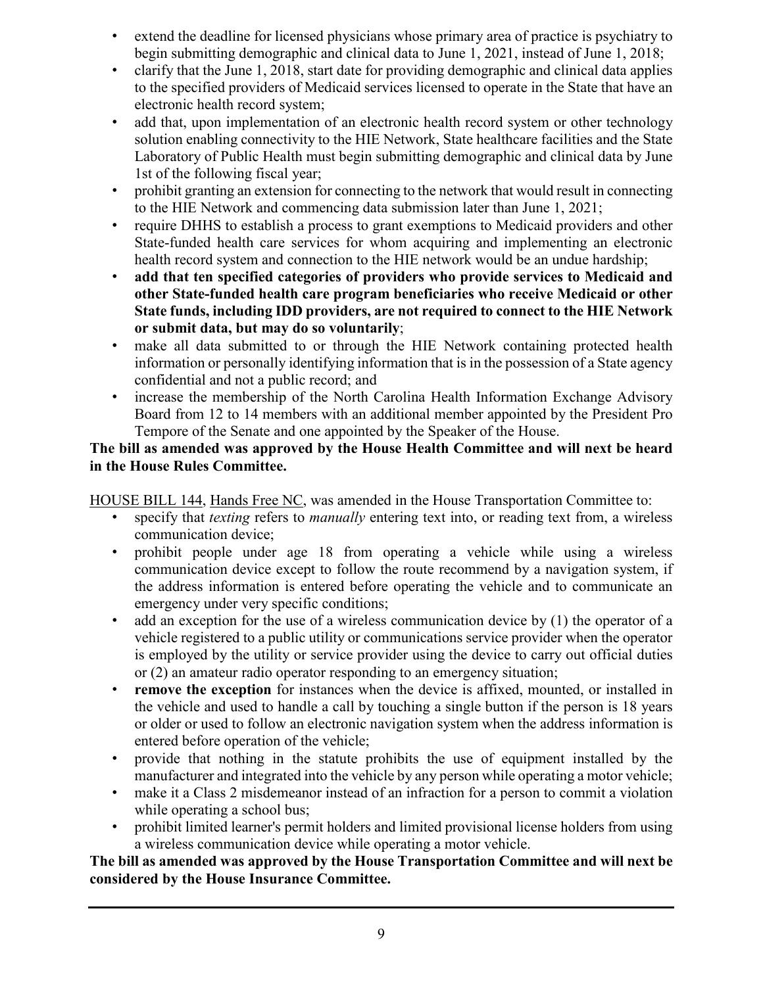- extend the deadline for licensed physicians whose primary area of practice is psychiatry to begin submitting demographic and clinical data to June 1, 2021, instead of June 1, 2018;
- clarify that the June 1, 2018, start date for providing demographic and clinical data applies to the specified providers of Medicaid services licensed to operate in the State that have an electronic health record system;
- add that, upon implementation of an electronic health record system or other technology solution enabling connectivity to the HIE Network, State healthcare facilities and the State Laboratory of Public Health must begin submitting demographic and clinical data by June 1st of the following fiscal year;
- prohibit granting an extension for connecting to the network that would result in connecting to the HIE Network and commencing data submission later than June 1, 2021;
- require DHHS to establish a process to grant exemptions to Medicaid providers and other State-funded health care services for whom acquiring and implementing an electronic health record system and connection to the HIE network would be an undue hardship;
- **add that ten specified categories of providers who provide services to Medicaid and other State-funded health care program beneficiaries who receive Medicaid or other State funds, including IDD providers, are not required to connect to the HIE Network or submit data, but may do so voluntarily**;
- make all data submitted to or through the HIE Network containing protected health information or personally identifying information that is in the possession of a State agency confidential and not a public record; and
- increase the membership of the North Carolina Health Information Exchange Advisory Board from 12 to 14 members with an additional member appointed by the President Pro Tempore of the Senate and one appointed by the Speaker of the House.

#### **The bill as amended was approved by the House Health Committee and will next be heard in the House Rules Committee.**

HOUSE BILL 144, Hands Free NC, was amended in the House Transportation Committee to:

- specify that *texting* refers to *manually* entering text into, or reading text from, a wireless communication device;
- prohibit people under age 18 from operating a vehicle while using a wireless communication device except to follow the route recommend by a navigation system, if the address information is entered before operating the vehicle and to communicate an emergency under very specific conditions;
- add an exception for the use of a wireless communication device by (1) the operator of a vehicle registered to a public utility or communications service provider when the operator is employed by the utility or service provider using the device to carry out official duties or (2) an amateur radio operator responding to an emergency situation;
- **remove the exception** for instances when the device is affixed, mounted, or installed in the vehicle and used to handle a call by touching a single button if the person is 18 years or older or used to follow an electronic navigation system when the address information is entered before operation of the vehicle;
- provide that nothing in the statute prohibits the use of equipment installed by the manufacturer and integrated into the vehicle by any person while operating a motor vehicle;
- make it a Class 2 misdemeanor instead of an infraction for a person to commit a violation while operating a school bus;
- prohibit limited learner's permit holders and limited provisional license holders from using a wireless communication device while operating a motor vehicle.

#### **The bill as amended was approved by the House Transportation Committee and will next be considered by the House Insurance Committee.**